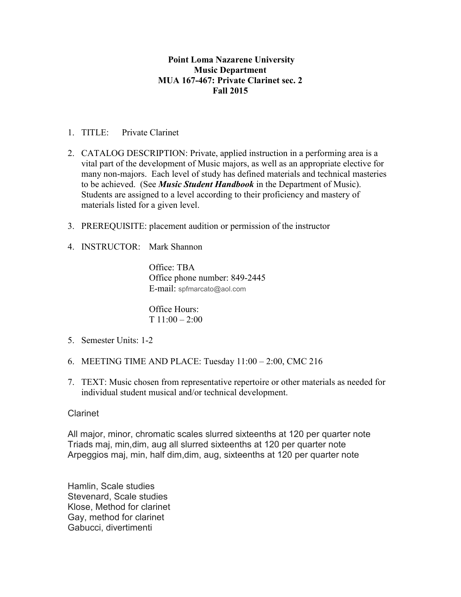## **Point Loma Nazarene University Music Department MUA 167-467: Private Clarinet sec. 2 Fall 2015**

- 1. TITLE: Private Clarinet
- 2. CATALOG DESCRIPTION: Private, applied instruction in a performing area is a vital part of the development of Music majors, as well as an appropriate elective for many non-majors. Each level of study has defined materials and technical masteries to be achieved. (See *Music Student Handbook* in the Department of Music). Students are assigned to a level according to their proficiency and mastery of materials listed for a given level.
- 3. PREREQUISITE: placement audition or permission of the instructor
- 4. INSTRUCTOR: Mark Shannon

Office: TBA Office phone number: 849-2445 E-mail: spfmarcato@aol.com

Office Hours: T 11:00 – 2:00

- 5. Semester Units: 1-2
- 6. MEETING TIME AND PLACE: Tuesday 11:00 2:00, CMC 216
- 7. TEXT: Music chosen from representative repertoire or other materials as needed for individual student musical and/or technical development.

## Clarinet

All major, minor, chromatic scales slurred sixteenths at 120 per quarter note Triads maj, min,dim, aug all slurred sixteenths at 120 per quarter note Arpeggios maj, min, half dim,dim, aug, sixteenths at 120 per quarter note

Hamlin, Scale studies Stevenard, Scale studies Klose, Method for clarinet Gay, method for clarinet Gabucci, divertimenti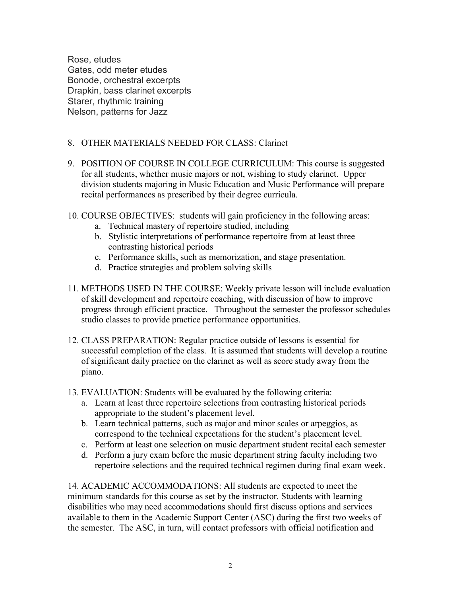Rose, etudes Gates, odd meter etudes Bonode, orchestral excerpts Drapkin, bass clarinet excerpts Starer, rhythmic training Nelson, patterns for Jazz

## 8. OTHER MATERIALS NEEDED FOR CLASS: Clarinet

- 9. POSITION OF COURSE IN COLLEGE CURRICULUM: This course is suggested for all students, whether music majors or not, wishing to study clarinet. Upper division students majoring in Music Education and Music Performance will prepare recital performances as prescribed by their degree curricula.
- 10. COURSE OBJECTIVES: students will gain proficiency in the following areas:
	- a. Technical mastery of repertoire studied, including
	- b. Stylistic interpretations of performance repertoire from at least three contrasting historical periods
	- c. Performance skills, such as memorization, and stage presentation.
	- d. Practice strategies and problem solving skills
- 11. METHODS USED IN THE COURSE: Weekly private lesson will include evaluation of skill development and repertoire coaching, with discussion of how to improve progress through efficient practice. Throughout the semester the professor schedules studio classes to provide practice performance opportunities.
- 12. CLASS PREPARATION: Regular practice outside of lessons is essential for successful completion of the class. It is assumed that students will develop a routine of significant daily practice on the clarinet as well as score study away from the piano.
- 13. EVALUATION: Students will be evaluated by the following criteria:
	- a. Learn at least three repertoire selections from contrasting historical periods appropriate to the student's placement level.
	- b. Learn technical patterns, such as major and minor scales or arpeggios, as correspond to the technical expectations for the student's placement level.
	- c. Perform at least one selection on music department student recital each semester
	- d. Perform a jury exam before the music department string faculty including two repertoire selections and the required technical regimen during final exam week.

14. ACADEMIC ACCOMMODATIONS: All students are expected to meet the minimum standards for this course as set by the instructor. Students with learning disabilities who may need accommodations should first discuss options and services available to them in the Academic Support Center (ASC) during the first two weeks of the semester. The ASC, in turn, will contact professors with official notification and